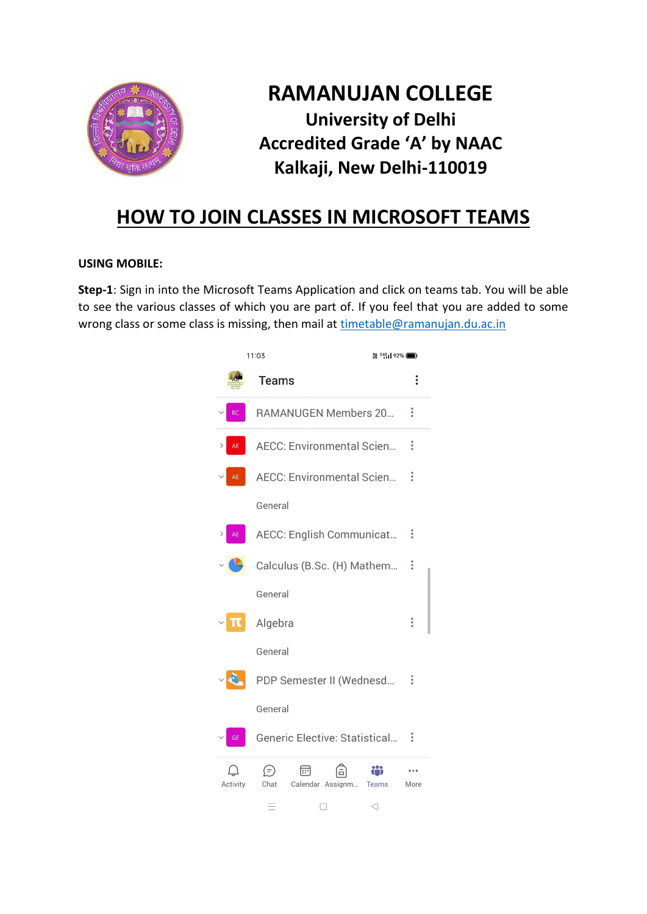

## **RAMANUJAN COLLEGE University of Delhi Accredited Grade 'A' by NAAC Kalkaji, New Delhi-110019**

## **HOW TO JOIN CLASSES IN MICROSOFT TEAMS**

## **USING MOBILE:**

**Step-1**: Sign in into the Microsoft Teams Application and click on teams tab. You will be able to see the various classes of which you are part of. If you feel that you are added to some wrong class or some class is missing, then mail at [timetable@ramanujan.du.ac.in](mailto:timetable@ramanujan.du.ac.in)

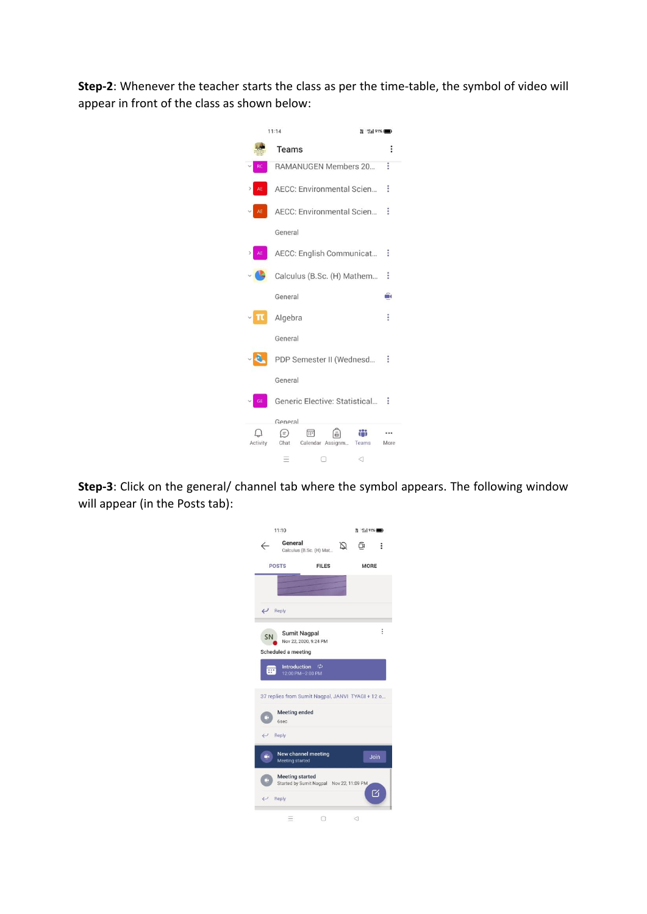**Step-2**: Whenever the teacher starts the class as per the time-table, the symbol of video will appear in front of the class as shown below:



**Step-3**: Click on the general/ channel tab where the symbol appears. The following window will appear (in the Posts tab):

|                           | 11:10                                                              |             | # 15191% ■ |          |  |
|---------------------------|--------------------------------------------------------------------|-------------|------------|----------|--|
|                           | General<br>Calculus (B.Sc. (H) Mat                                 | Q           | ā          | ፧        |  |
|                           | <b>POSTS</b><br><b>FILES</b>                                       | <b>MORE</b> |            |          |  |
|                           |                                                                    |             |            |          |  |
| $\leftrightarrow$ Reply   |                                                                    |             |            |          |  |
| <b>SN</b>                 | <b>Sumit Nagpal</b>                                                |             |            | $\vdots$ |  |
|                           | Nov 22, 2020, 9:24 PM<br>Scheduled a meeting                       |             |            |          |  |
| $\overline{\mathbb{R}^n}$ | <b>Introduction</b><br>12:00 PM-2:00 PM                            | ¢           |            |          |  |
|                           | 37 replies from Sumit Nagpal, JANVI TYAGI + 12 o                   |             |            |          |  |
|                           | <b>Meeting ended</b><br><b>6sec</b>                                |             |            |          |  |
| $\leftrightarrow$ Reply   |                                                                    |             |            |          |  |
| Ü1                        | New channel meeting<br>Meeting started                             |             | Join       |          |  |
|                           | <b>Meeting started</b><br>Started by Sumit Nagpal Nov 22, 11:09 PM |             | M          |          |  |
|                           | Reply                                                              |             |            |          |  |
|                           |                                                                    |             | ⊲          |          |  |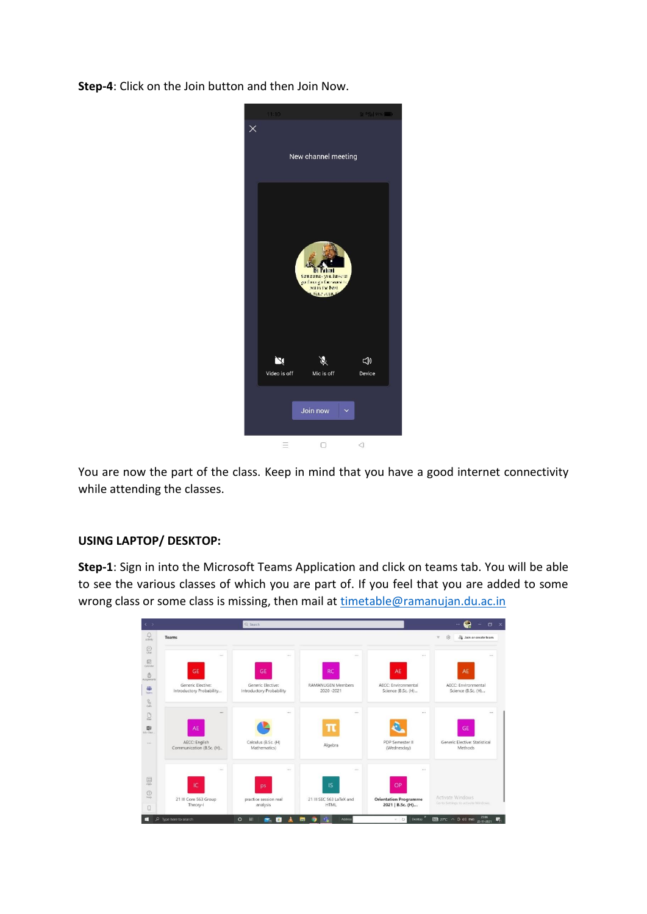**Step-4**: Click on the Join button and then Join Now.



You are now the part of the class. Keep in mind that you have a good internet connectivity while attending the classes.

## **USING LAPTOP/ DESKTOP:**

**Step-1**: Sign in into the Microsoft Teams Application and click on teams tab. You will be able to see the various classes of which you are part of. If you feel that you are added to some wrong class or some class is missing, then mail at [timetable@ramanujan.du.ac.in](mailto:timetable@ramanujan.du.ac.in)